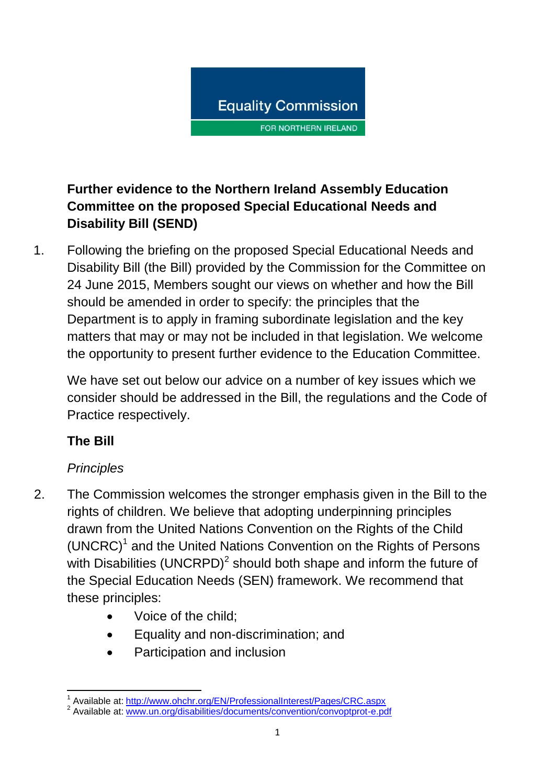

## **Further evidence to the Northern Ireland Assembly Education Committee on the proposed Special Educational Needs and Disability Bill (SEND)**

1. Following the briefing on the proposed Special Educational Needs and Disability Bill (the Bill) provided by the Commission for the Committee on 24 June 2015, Members sought our views on whether and how the Bill should be amended in order to specify: the principles that the Department is to apply in framing subordinate legislation and the key matters that may or may not be included in that legislation. We welcome the opportunity to present further evidence to the Education Committee.

We have set out below our advice on a number of key issues which we consider should be addressed in the Bill, the regulations and the Code of Practice respectively.

## **The Bill**

# *Principles*

- 2. The Commission welcomes the stronger emphasis given in the Bill to the rights of children. We believe that adopting underpinning principles drawn from the United Nations Convention on the Rights of the Child (UNCRC)<sup>1</sup> and the United Nations Convention on the Rights of Persons with Disabilities (UNCRPD)<sup>2</sup> should both shape and inform the future of the Special Education Needs (SEN) framework. We recommend that these principles:
	- Voice of the child:
	- Equality and non-discrimination; and
	- Participation and inclusion

 1 Available at: <http://www.ohchr.org/EN/ProfessionalInterest/Pages/CRC.aspx>

<sup>&</sup>lt;sup>2</sup> Available at: [www.un.org/disabilities/documents/convention/convoptprot-e.pdf](http://www.un.org/disabilities/documents/convention/convoptprot-e.pdf)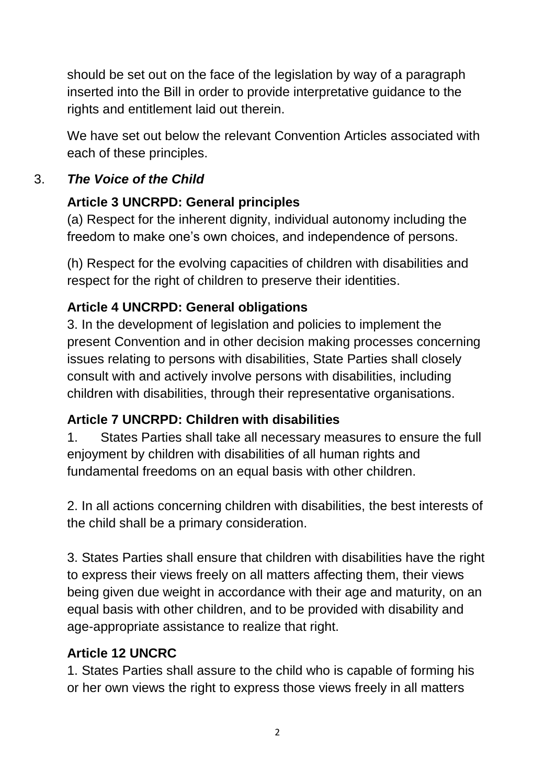should be set out on the face of the legislation by way of a paragraph inserted into the Bill in order to provide interpretative guidance to the rights and entitlement laid out therein.

We have set out below the relevant Convention Articles associated with each of these principles.

## 3. *The Voice of the Child*

# **Article 3 UNCRPD: General principles**

(a) Respect for the inherent dignity, individual autonomy including the freedom to make one's own choices, and independence of persons.

(h) Respect for the evolving capacities of children with disabilities and respect for the right of children to preserve their identities.

# **Article 4 UNCRPD: General obligations**

3. In the development of legislation and policies to implement the present Convention and in other decision making processes concerning issues relating to persons with disabilities, State Parties shall closely consult with and actively involve persons with disabilities, including children with disabilities, through their representative organisations.

# **Article 7 UNCRPD: Children with disabilities**

1. States Parties shall take all necessary measures to ensure the full enjoyment by children with disabilities of all human rights and fundamental freedoms on an equal basis with other children.

2. In all actions concerning children with disabilities, the best interests of the child shall be a primary consideration.

3. States Parties shall ensure that children with disabilities have the right to express their views freely on all matters affecting them, their views being given due weight in accordance with their age and maturity, on an equal basis with other children, and to be provided with disability and age-appropriate assistance to realize that right.

# **Article 12 UNCRC**

1. States Parties shall assure to the child who is capable of forming his or her own views the right to express those views freely in all matters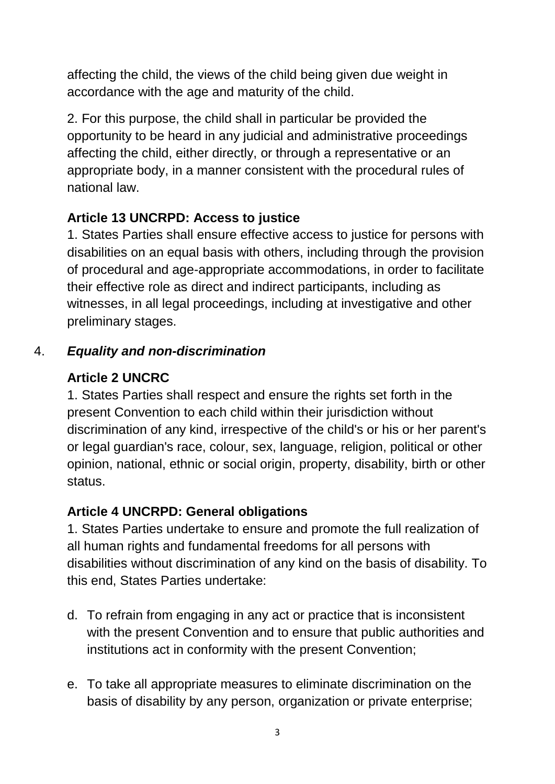affecting the child, the views of the child being given due weight in accordance with the age and maturity of the child.

2. For this purpose, the child shall in particular be provided the opportunity to be heard in any judicial and administrative proceedings affecting the child, either directly, or through a representative or an appropriate body, in a manner consistent with the procedural rules of national law.

## **Article 13 UNCRPD: Access to justice**

1. States Parties shall ensure effective access to justice for persons with disabilities on an equal basis with others, including through the provision of procedural and age-appropriate accommodations, in order to facilitate their effective role as direct and indirect participants, including as witnesses, in all legal proceedings, including at investigative and other preliminary stages.

## 4. *Equality and non-discrimination*

## **Article 2 UNCRC**

1. States Parties shall respect and ensure the rights set forth in the present Convention to each child within their jurisdiction without discrimination of any kind, irrespective of the child's or his or her parent's or legal guardian's race, colour, sex, language, religion, political or other opinion, national, ethnic or social origin, property, disability, birth or other status.

## **Article 4 UNCRPD: General obligations**

1. States Parties undertake to ensure and promote the full realization of all human rights and fundamental freedoms for all persons with disabilities without discrimination of any kind on the basis of disability. To this end, States Parties undertake:

- d. To refrain from engaging in any act or practice that is inconsistent with the present Convention and to ensure that public authorities and institutions act in conformity with the present Convention;
- e. To take all appropriate measures to eliminate discrimination on the basis of disability by any person, organization or private enterprise;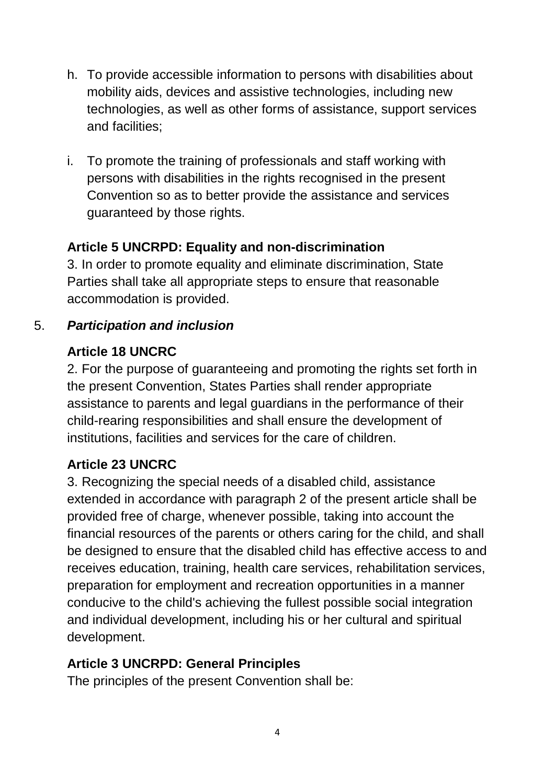- h. To provide accessible information to persons with disabilities about mobility aids, devices and assistive technologies, including new technologies, as well as other forms of assistance, support services and facilities;
- i. To promote the training of professionals and staff working with persons with disabilities in the rights recognised in the present Convention so as to better provide the assistance and services guaranteed by those rights.

## **Article 5 UNCRPD: Equality and non-discrimination**

3. In order to promote equality and eliminate discrimination, State Parties shall take all appropriate steps to ensure that reasonable accommodation is provided.

## 5. *Participation and inclusion*

## **Article 18 UNCRC**

2. For the purpose of guaranteeing and promoting the rights set forth in the present Convention, States Parties shall render appropriate assistance to parents and legal guardians in the performance of their child-rearing responsibilities and shall ensure the development of institutions, facilities and services for the care of children.

# **Article 23 UNCRC**

3. Recognizing the special needs of a disabled child, assistance extended in accordance with paragraph 2 of the present article shall be provided free of charge, whenever possible, taking into account the financial resources of the parents or others caring for the child, and shall be designed to ensure that the disabled child has effective access to and receives education, training, health care services, rehabilitation services, preparation for employment and recreation opportunities in a manner conducive to the child's achieving the fullest possible social integration and individual development, including his or her cultural and spiritual development.

## **Article 3 UNCRPD: General Principles**

The principles of the present Convention shall be: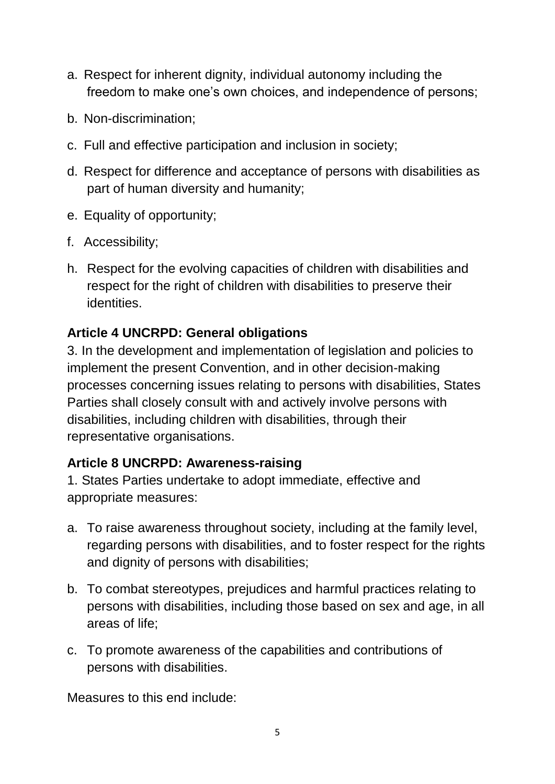- a. Respect for inherent dignity, individual autonomy including the freedom to make one's own choices, and independence of persons;
- b. Non-discrimination;
- c. Full and effective participation and inclusion in society;
- d. Respect for difference and acceptance of persons with disabilities as part of human diversity and humanity;
- e. Equality of opportunity;
- f. Accessibility;
- h. Respect for the evolving capacities of children with disabilities and respect for the right of children with disabilities to preserve their identities.

#### **Article 4 UNCRPD: General obligations**

3. In the development and implementation of legislation and policies to implement the present Convention, and in other decision-making processes concerning issues relating to persons with disabilities, States Parties shall closely consult with and actively involve persons with disabilities, including children with disabilities, through their representative organisations.

#### **Article 8 UNCRPD: Awareness-raising**

1. States Parties undertake to adopt immediate, effective and appropriate measures:

- a. To raise awareness throughout society, including at the family level, regarding persons with disabilities, and to foster respect for the rights and dignity of persons with disabilities;
- b. To combat stereotypes, prejudices and harmful practices relating to persons with disabilities, including those based on sex and age, in all areas of life;
- c. To promote awareness of the capabilities and contributions of persons with disabilities.

Measures to this end include: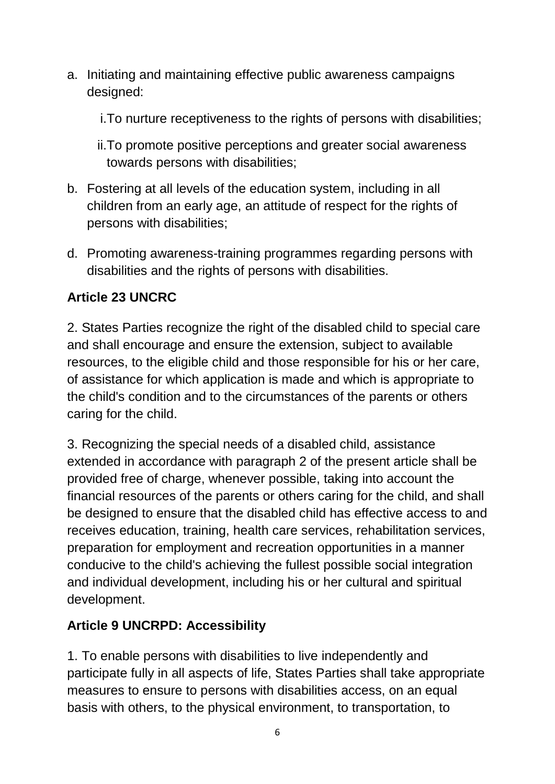a. Initiating and maintaining effective public awareness campaigns designed:

i.To nurture receptiveness to the rights of persons with disabilities;

ii.To promote positive perceptions and greater social awareness towards persons with disabilities;

- b. Fostering at all levels of the education system, including in all children from an early age, an attitude of respect for the rights of persons with disabilities;
- d. Promoting awareness-training programmes regarding persons with disabilities and the rights of persons with disabilities.

## **Article 23 UNCRC**

2. States Parties recognize the right of the disabled child to special care and shall encourage and ensure the extension, subject to available resources, to the eligible child and those responsible for his or her care, of assistance for which application is made and which is appropriate to the child's condition and to the circumstances of the parents or others caring for the child.

3. Recognizing the special needs of a disabled child, assistance extended in accordance with paragraph 2 of the present article shall be provided free of charge, whenever possible, taking into account the financial resources of the parents or others caring for the child, and shall be designed to ensure that the disabled child has effective access to and receives education, training, health care services, rehabilitation services, preparation for employment and recreation opportunities in a manner conducive to the child's achieving the fullest possible social integration and individual development, including his or her cultural and spiritual development.

# **Article 9 UNCRPD: Accessibility**

1. To enable persons with disabilities to live independently and participate fully in all aspects of life, States Parties shall take appropriate measures to ensure to persons with disabilities access, on an equal basis with others, to the physical environment, to transportation, to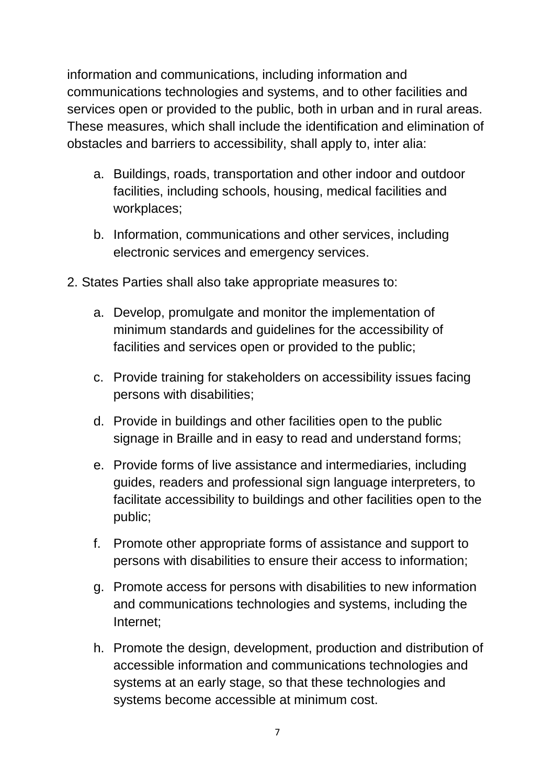information and communications, including information and communications technologies and systems, and to other facilities and services open or provided to the public, both in urban and in rural areas. These measures, which shall include the identification and elimination of obstacles and barriers to accessibility, shall apply to, inter alia:

- a. Buildings, roads, transportation and other indoor and outdoor facilities, including schools, housing, medical facilities and workplaces;
- b. Information, communications and other services, including electronic services and emergency services.
- 2. States Parties shall also take appropriate measures to:
	- a. Develop, promulgate and monitor the implementation of minimum standards and guidelines for the accessibility of facilities and services open or provided to the public;
	- c. Provide training for stakeholders on accessibility issues facing persons with disabilities;
	- d. Provide in buildings and other facilities open to the public signage in Braille and in easy to read and understand forms;
	- e. Provide forms of live assistance and intermediaries, including guides, readers and professional sign language interpreters, to facilitate accessibility to buildings and other facilities open to the public;
	- f. Promote other appropriate forms of assistance and support to persons with disabilities to ensure their access to information;
	- g. Promote access for persons with disabilities to new information and communications technologies and systems, including the Internet;
	- h. Promote the design, development, production and distribution of accessible information and communications technologies and systems at an early stage, so that these technologies and systems become accessible at minimum cost.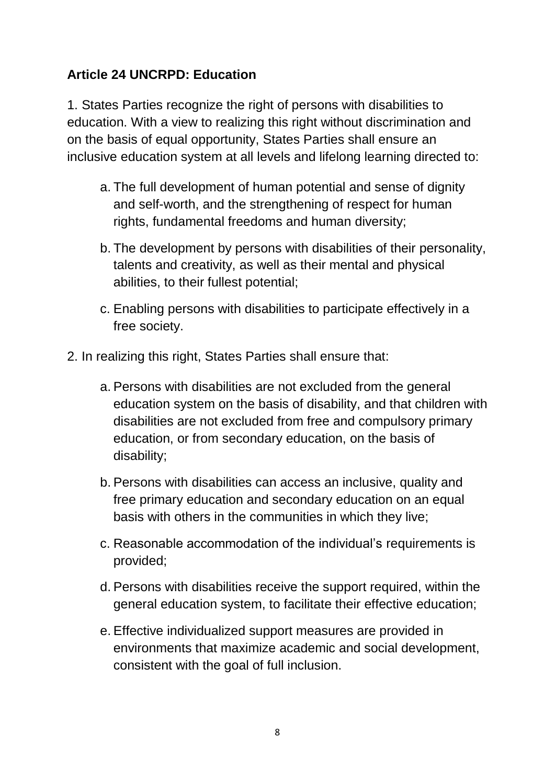## **Article 24 UNCRPD: Education**

1. States Parties recognize the right of persons with disabilities to education. With a view to realizing this right without discrimination and on the basis of equal opportunity, States Parties shall ensure an inclusive education system at all levels and lifelong learning directed to:

- a. The full development of human potential and sense of dignity and self-worth, and the strengthening of respect for human rights, fundamental freedoms and human diversity;
- b. The development by persons with disabilities of their personality, talents and creativity, as well as their mental and physical abilities, to their fullest potential;
- c. Enabling persons with disabilities to participate effectively in a free society.
- 2. In realizing this right, States Parties shall ensure that:
	- a. Persons with disabilities are not excluded from the general education system on the basis of disability, and that children with disabilities are not excluded from free and compulsory primary education, or from secondary education, on the basis of disability;
	- b. Persons with disabilities can access an inclusive, quality and free primary education and secondary education on an equal basis with others in the communities in which they live;
	- c. Reasonable accommodation of the individual's requirements is provided;
	- d. Persons with disabilities receive the support required, within the general education system, to facilitate their effective education;
	- e. Effective individualized support measures are provided in environments that maximize academic and social development, consistent with the goal of full inclusion.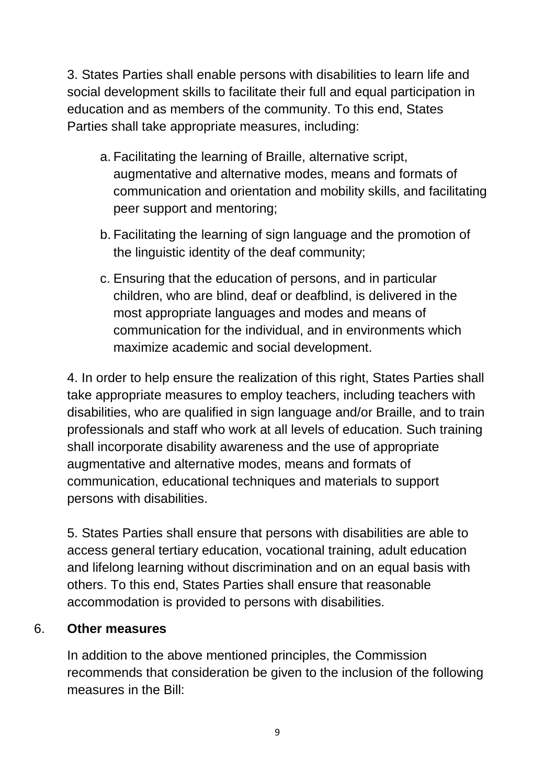3. States Parties shall enable persons with disabilities to learn life and social development skills to facilitate their full and equal participation in education and as members of the community. To this end, States Parties shall take appropriate measures, including:

- a. Facilitating the learning of Braille, alternative script, augmentative and alternative modes, means and formats of communication and orientation and mobility skills, and facilitating peer support and mentoring;
- b. Facilitating the learning of sign language and the promotion of the linguistic identity of the deaf community;
- c. Ensuring that the education of persons, and in particular children, who are blind, deaf or deafblind, is delivered in the most appropriate languages and modes and means of communication for the individual, and in environments which maximize academic and social development.

4. In order to help ensure the realization of this right, States Parties shall take appropriate measures to employ teachers, including teachers with disabilities, who are qualified in sign language and/or Braille, and to train professionals and staff who work at all levels of education. Such training shall incorporate disability awareness and the use of appropriate augmentative and alternative modes, means and formats of communication, educational techniques and materials to support persons with disabilities.

5. States Parties shall ensure that persons with disabilities are able to access general tertiary education, vocational training, adult education and lifelong learning without discrimination and on an equal basis with others. To this end, States Parties shall ensure that reasonable accommodation is provided to persons with disabilities.

#### 6. **Other measures**

In addition to the above mentioned principles, the Commission recommends that consideration be given to the inclusion of the following measures in the Bill: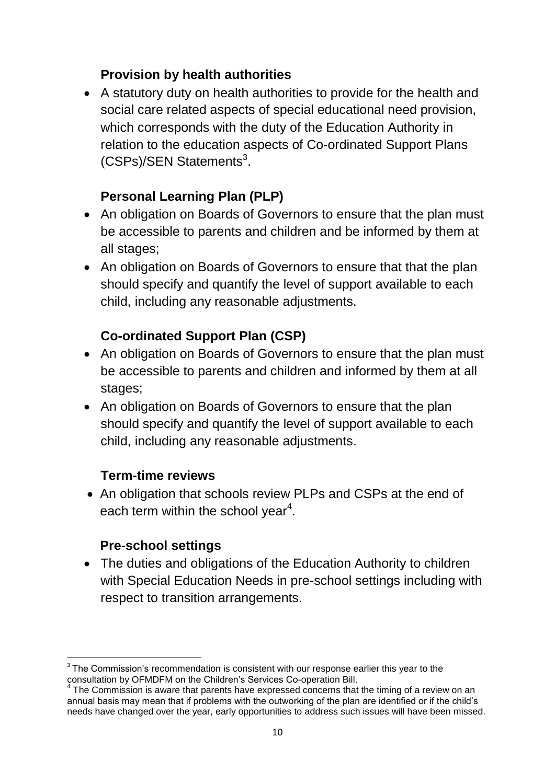#### **Provision by health authorities**

 A statutory duty on health authorities to provide for the health and social care related aspects of special educational need provision, which corresponds with the duty of the Education Authority in relation to the education aspects of Co-ordinated Support Plans (CSPs)/SEN Statements<sup>3</sup>.

## **Personal Learning Plan (PLP)**

- An obligation on Boards of Governors to ensure that the plan must be accessible to parents and children and be informed by them at all stages;
- An obligation on Boards of Governors to ensure that that the plan should specify and quantify the level of support available to each child, including any reasonable adjustments.

## **Co-ordinated Support Plan (CSP)**

- An obligation on Boards of Governors to ensure that the plan must be accessible to parents and children and informed by them at all stages;
- An obligation on Boards of Governors to ensure that the plan should specify and quantify the level of support available to each child, including any reasonable adjustments.

#### **Term-time reviews**

• An obligation that schools review PLPs and CSPs at the end of each term within the school year<sup>4</sup>.

#### **Pre-school settings**

• The duties and obligations of the Education Authority to children with Special Education Needs in pre-school settings including with respect to transition arrangements.

<sup>1</sup>  $3$  The Commission's recommendation is consistent with our response earlier this year to the consultation by OFMDFM on the Children's Services Co-operation Bill.

 $4$  The Commission is aware that parents have expressed concerns that the timing of a review on an annual basis may mean that if problems with the outworking of the plan are identified or if the child's needs have changed over the year, early opportunities to address such issues will have been missed.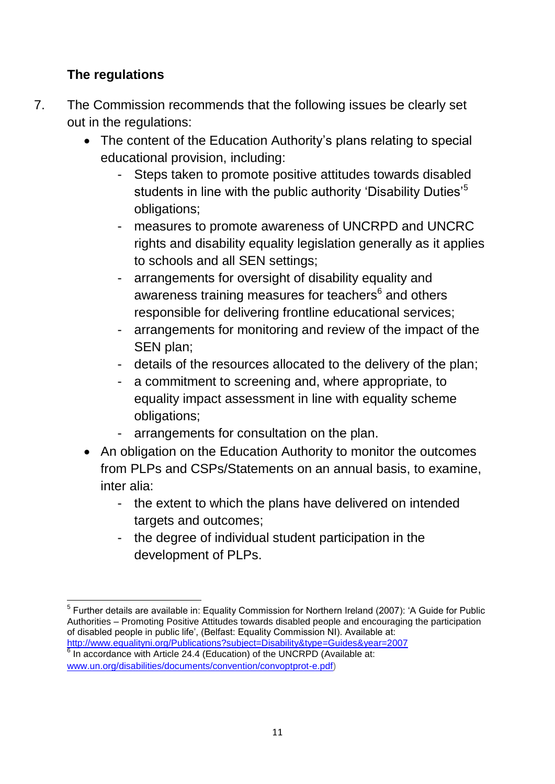## **The regulations**

- 7. The Commission recommends that the following issues be clearly set out in the regulations:
	- The content of the Education Authority's plans relating to special educational provision, including:
		- Steps taken to promote positive attitudes towards disabled students in line with the public authority 'Disability Duties'<sup>5</sup> obligations;
		- measures to promote awareness of UNCRPD and UNCRC rights and disability equality legislation generally as it applies to schools and all SEN settings;
		- arrangements for oversight of disability equality and awareness training measures for teachers<sup>6</sup> and others responsible for delivering frontline educational services;
		- arrangements for monitoring and review of the impact of the SEN plan;
		- details of the resources allocated to the delivery of the plan;
		- a commitment to screening and, where appropriate, to equality impact assessment in line with equality scheme obligations;
		- arrangements for consultation on the plan.
	- An obligation on the Education Authority to monitor the outcomes from PLPs and CSPs/Statements on an annual basis, to examine, inter alia:
		- the extent to which the plans have delivered on intended targets and outcomes;
		- the degree of individual student participation in the development of PLPs.

**<sup>.</sup>** <sup>5</sup> Further details are available in: Equality Commission for Northern Ireland (2007): 'A Guide for Public Authorities – Promoting Positive Attitudes towards disabled people and encouraging the participation of disabled people in public life', (Belfast: Equality Commission NI). Available at:

<http://www.equalityni.org/Publications?subject=Disability&type=Guides&year=2007> 6 In accordance with Article 24.4 (Education) of the UNCRPD (Available at: [www.un.org/disabilities/documents/convention/convoptprot-e.pdf\)](http://www.un.org/disabilities/documents/convention/convoptprot-e.pdf)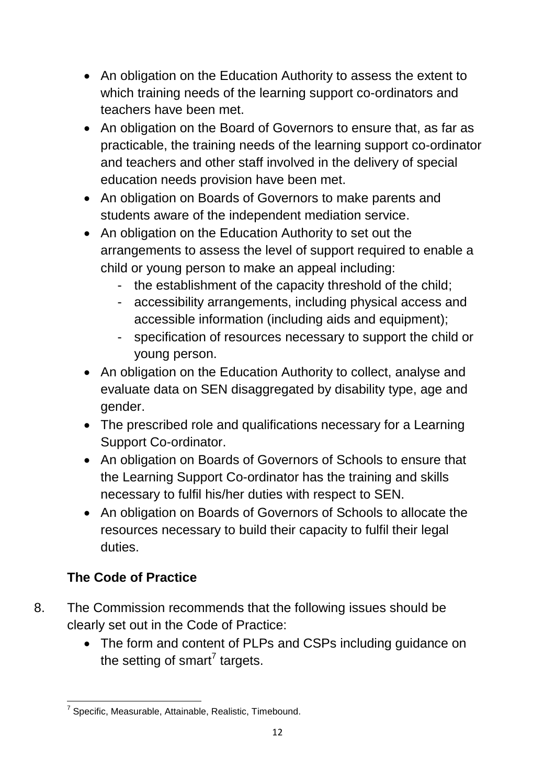- An obligation on the Education Authority to assess the extent to which training needs of the learning support co-ordinators and teachers have been met.
- An obligation on the Board of Governors to ensure that, as far as practicable, the training needs of the learning support co-ordinator and teachers and other staff involved in the delivery of special education needs provision have been met.
- An obligation on Boards of Governors to make parents and students aware of the independent mediation service.
- An obligation on the Education Authority to set out the arrangements to assess the level of support required to enable a child or young person to make an appeal including:
	- the establishment of the capacity threshold of the child;
	- accessibility arrangements, including physical access and accessible information (including aids and equipment);
	- specification of resources necessary to support the child or young person.
- An obligation on the Education Authority to collect, analyse and evaluate data on SEN disaggregated by disability type, age and gender.
- The prescribed role and qualifications necessary for a Learning Support Co-ordinator.
- An obligation on Boards of Governors of Schools to ensure that the Learning Support Co-ordinator has the training and skills necessary to fulfil his/her duties with respect to SEN.
- An obligation on Boards of Governors of Schools to allocate the resources necessary to build their capacity to fulfil their legal duties.

# **The Code of Practice**

- 8. The Commission recommends that the following issues should be clearly set out in the Code of Practice:
	- The form and content of PLPs and CSPs including guidance on the setting of smart<sup>7</sup> targets.

 7 Specific, Measurable, Attainable, Realistic, Timebound.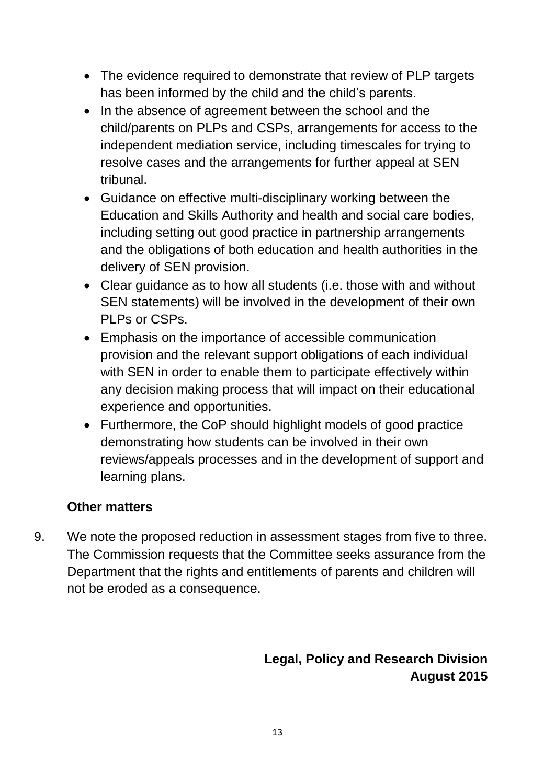- The evidence required to demonstrate that review of PLP targets has been informed by the child and the child's parents.
- In the absence of agreement between the school and the child/parents on PLPs and CSPs, arrangements for access to the independent mediation service, including timescales for trying to resolve cases and the arrangements for further appeal at SEN tribunal.
- Guidance on effective multi-disciplinary working between the Education and Skills Authority and health and social care bodies, including setting out good practice in partnership arrangements and the obligations of both education and health authorities in the delivery of SEN provision.
- Clear guidance as to how all students (i.e. those with and without SEN statements) will be involved in the development of their own PLPs or CSPs.
- Emphasis on the importance of accessible communication provision and the relevant support obligations of each individual with SEN in order to enable them to participate effectively within any decision making process that will impact on their educational experience and opportunities.
- Furthermore, the CoP should highlight models of good practice demonstrating how students can be involved in their own reviews/appeals processes and in the development of support and learning plans.

#### **Other matters**

9. We note the proposed reduction in assessment stages from five to three. The Commission requests that the Committee seeks assurance from the Department that the rights and entitlements of parents and children will not be eroded as a consequence.

## **Legal, Policy and Research Division August 2015**